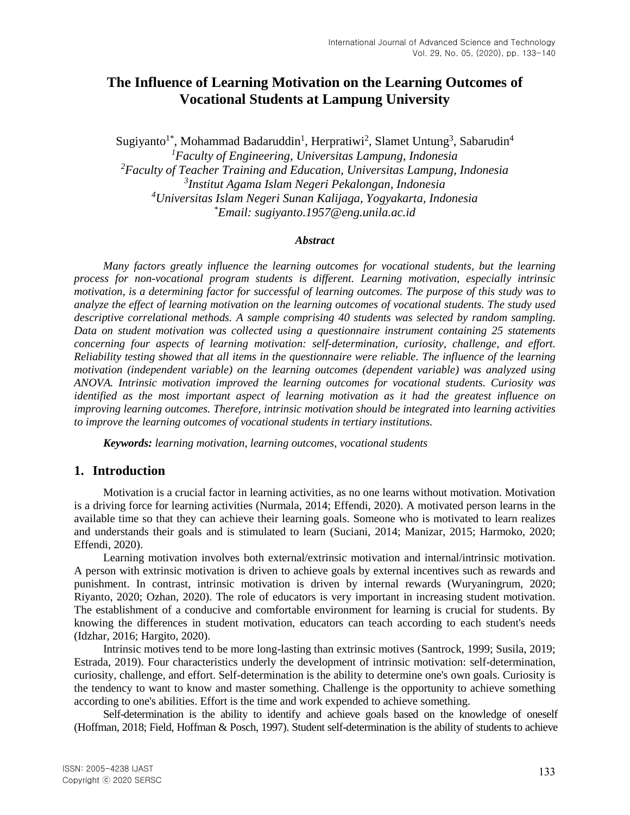# **The Influence of Learning Motivation on the Learning Outcomes of Vocational Students at Lampung University**

Sugiyanto<sup>1\*</sup>, Mohammad Badaruddin<sup>1</sup>, Herpratiwi<sup>2</sup>, Slamet Untung<sup>3</sup>, Sabarudin<sup>4</sup> *Faculty of Engineering, Universitas Lampung, Indonesia Faculty of Teacher Training and Education, Universitas Lampung, Indonesia Institut Agama Islam Negeri Pekalongan, Indonesia Universitas Islam Negeri Sunan Kalijaga, Yogyakarta, Indonesia \*Email: sugiyanto.1957@eng.unila.ac.id*

#### *Abstract*

*Many factors greatly influence the learning outcomes for vocational students, but the learning process for non-vocational program students is different. Learning motivation, especially intrinsic motivation, is a determining factor for successful of learning outcomes. The purpose of this study was to analyze the effect of learning motivation on the learning outcomes of vocational students. The study used descriptive correlational methods. A sample comprising 40 students was selected by random sampling. Data on student motivation was collected using a questionnaire instrument containing 25 statements concerning four aspects of learning motivation: self-determination, curiosity, challenge, and effort. Reliability testing showed that all items in the questionnaire were reliable. The influence of the learning motivation (independent variable) on the learning outcomes (dependent variable) was analyzed using ANOVA. Intrinsic motivation improved the learning outcomes for vocational students. Curiosity was identified as the most important aspect of learning motivation as it had the greatest influence on improving learning outcomes. Therefore, intrinsic motivation should be integrated into learning activities to improve the learning outcomes of vocational students in tertiary institutions.*

*Keywords: learning motivation, learning outcomes, vocational students*

#### **1. Introduction**

Motivation is a crucial factor in learning activities, as no one learns without motivation. Motivation is a driving force for learning activities (Nurmala, 2014; Effendi, 2020). A motivated person learns in the available time so that they can achieve their learning goals. Someone who is motivated to learn realizes and understands their goals and is stimulated to learn (Suciani, 2014; Manizar, 2015; Harmoko, 2020; Effendi, 2020).

Learning motivation involves both external/extrinsic motivation and internal/intrinsic motivation. A person with extrinsic motivation is driven to achieve goals by external incentives such as rewards and punishment. In contrast, intrinsic motivation is driven by internal rewards (Wuryaningrum, 2020; Riyanto, 2020; Ozhan, 2020). The role of educators is very important in increasing student motivation. The establishment of a conducive and comfortable environment for learning is crucial for students. By knowing the differences in student motivation, educators can teach according to each student's needs (Idzhar, 2016; Hargito, 2020).

Intrinsic motives tend to be more long-lasting than extrinsic motives (Santrock, 1999; Susila, 2019; Estrada, 2019). Four characteristics underly the development of intrinsic motivation: self-determination, curiosity, challenge, and effort. Self-determination is the ability to determine one's own goals. Curiosity is the tendency to want to know and master something. Challenge is the opportunity to achieve something according to one's abilities. Effort is the time and work expended to achieve something.

Self-determination is the ability to identify and achieve goals based on the knowledge of oneself (Hoffman, 2018; Field, Hoffman & Posch, 1997). Student self-determination is the ability of students to achieve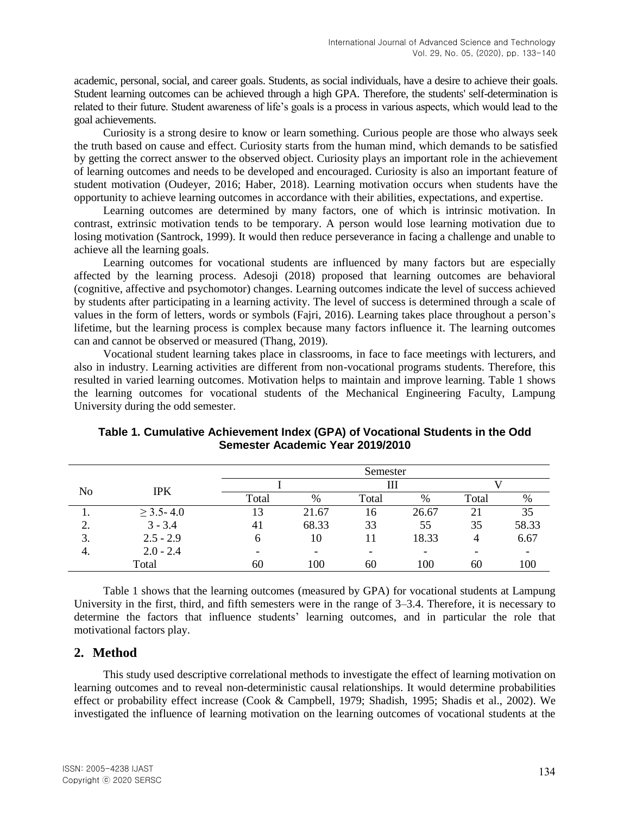academic, personal, social, and career goals. Students, as social individuals, have a desire to achieve their goals. Student learning outcomes can be achieved through a high GPA. Therefore, the students' self-determination is related to their future. Student awareness of life's goals is a process in various aspects, which would lead to the goal achievements.

Curiosity is a strong desire to know or learn something. Curious people are those who always seek the truth based on cause and effect. Curiosity starts from the human mind, which demands to be satisfied by getting the correct answer to the observed object. Curiosity plays an important role in the achievement of learning outcomes and needs to be developed and encouraged. Curiosity is also an important feature of student motivation (Oudeyer, 2016; Haber, 2018). Learning motivation occurs when students have the opportunity to achieve learning outcomes in accordance with their abilities, expectations, and expertise.

Learning outcomes are determined by many factors, one of which is intrinsic motivation. In contrast, extrinsic motivation tends to be temporary. A person would lose learning motivation due to losing motivation (Santrock, 1999). It would then reduce perseverance in facing a challenge and unable to achieve all the learning goals.

Learning outcomes for vocational students are influenced by many factors but are especially affected by the learning process. Adesoji (2018) proposed that learning outcomes are behavioral (cognitive, affective and psychomotor) changes. Learning outcomes indicate the level of success achieved by students after participating in a learning activity. The level of success is determined through a scale of values in the form of letters, words or symbols (Fajri, 2016). Learning takes place throughout a person's lifetime, but the learning process is complex because many factors influence it. The learning outcomes can and cannot be observed or measured (Thang, 2019).

Vocational student learning takes place in classrooms, in face to face meetings with lecturers, and also in industry. Learning activities are different from non-vocational programs students. Therefore, this resulted in varied learning outcomes. Motivation helps to maintain and improve learning. Table 1 shows the learning outcomes for vocational students of the Mechanical Engineering Faculty, Lampung University during the odd semester.

|                     |                |       |       | Semester |                          |       |       |
|---------------------|----------------|-------|-------|----------|--------------------------|-------|-------|
| No                  |                |       |       | Ш        |                          |       |       |
|                     | <b>IPK</b>     | Total | $\%$  | Total    | $\%$                     | Total | %     |
| .,                  | $\geq$ 3.5-4.0 | 13    | 21.67 | 16       | 26.67                    | 21    | 35    |
| $\mathcal{D}$<br>۷. | $3 - 3.4$      | 41    | 68.33 | 33       | 55                       | 35    | 58.33 |
| 3.                  | $2.5 - 2.9$    | 6     | 10    |          | 18.33                    | 4     | 6.67  |
| 4.                  | $2.0 - 2.4$    | -     | ۰     |          | $\overline{\phantom{a}}$ |       |       |
|                     | Total          | 60    | 100   | 60       | 100                      | 60    | 100   |

**Table 1. Cumulative Achievement Index (GPA) of Vocational Students in the Odd Semester Academic Year 2019/2010**

Table 1 shows that the learning outcomes (measured by GPA) for vocational students at Lampung University in the first, third, and fifth semesters were in the range of 3–3.4. Therefore, it is necessary to determine the factors that influence students' learning outcomes, and in particular the role that motivational factors play.

# **2. Method**

This study used descriptive correlational methods to investigate the effect of learning motivation on learning outcomes and to reveal non-deterministic causal relationships. It would determine probabilities effect or probability effect increase (Cook & Campbell, 1979; Shadish, 1995; Shadis et al., 2002). We investigated the influence of learning motivation on the learning outcomes of vocational students at the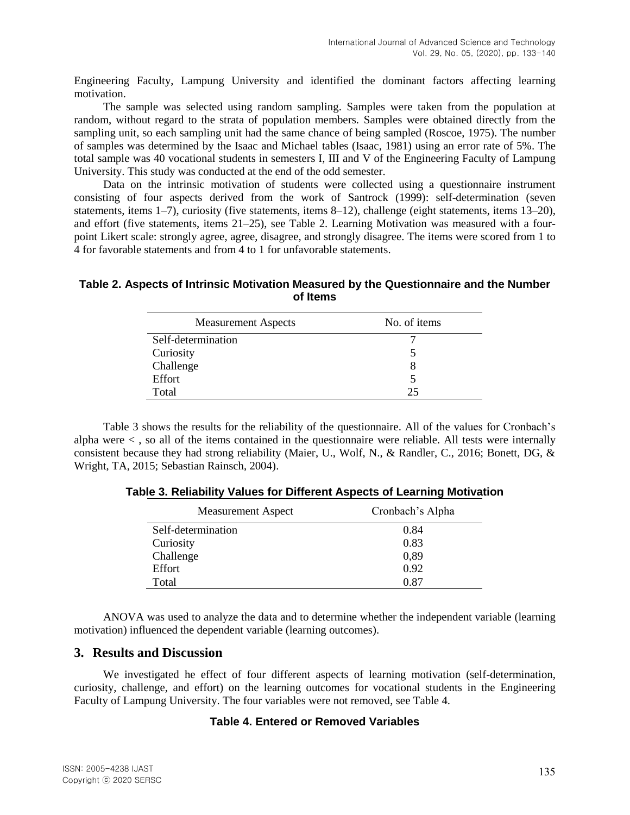Engineering Faculty, Lampung University and identified the dominant factors affecting learning motivation.

The sample was selected using random sampling. Samples were taken from the population at random, without regard to the strata of population members. Samples were obtained directly from the sampling unit, so each sampling unit had the same chance of being sampled (Roscoe, 1975). The number of samples was determined by the Isaac and Michael tables (Isaac, 1981) using an error rate of 5%. The total sample was 40 vocational students in semesters I, III and V of the Engineering Faculty of Lampung University. This study was conducted at the end of the odd semester.

Data on the intrinsic motivation of students were collected using a questionnaire instrument consisting of four aspects derived from the work of Santrock (1999): self-determination (seven statements, items 1–7), curiosity (five statements, items 8–12), challenge (eight statements, items 13–20), and effort (five statements, items 21–25), see Table 2. Learning Motivation was measured with a fourpoint Likert scale: strongly agree, agree, disagree, and strongly disagree. The items were scored from 1 to 4 for favorable statements and from 4 to 1 for unfavorable statements.

#### **Table 2. Aspects of Intrinsic Motivation Measured by the Questionnaire and the Number of Items**

| <b>Measurement Aspects</b> | No. of items |
|----------------------------|--------------|
| Self-determination         |              |
| Curiosity                  |              |
| Challenge                  |              |
| Effort                     |              |
| Total                      |              |

Table 3 shows the results for the reliability of the questionnaire. All of the values for Cronbach's alpha were  $\lt$ , so all of the items contained in the questionnaire were reliable. All tests were internally consistent because they had strong reliability (Maier, U., Wolf, N., & Randler, C., 2016; Bonett, DG, & Wright, TA, 2015; Sebastian Rainsch, 2004).

| Table 3. Reliability Values for Different Aspects of Learning Motivation |  |  |  |
|--------------------------------------------------------------------------|--|--|--|
|--------------------------------------------------------------------------|--|--|--|

| <b>Measurement Aspect</b> | Cronbach's Alpha |
|---------------------------|------------------|
| Self-determination        | 0.84             |
| Curiosity                 | 0.83             |
| Challenge                 | 0,89             |
| Effort                    | 0.92             |
| Total                     | 0.87             |

ANOVA was used to analyze the data and to determine whether the independent variable (learning motivation) influenced the dependent variable (learning outcomes).

### **3. Results and Discussion**

We investigated he effect of four different aspects of learning motivation (self-determination, curiosity, challenge, and effort) on the learning outcomes for vocational students in the Engineering Faculty of Lampung University. The four variables were not removed, see Table 4.

#### **Table 4. Entered or Removed Variables**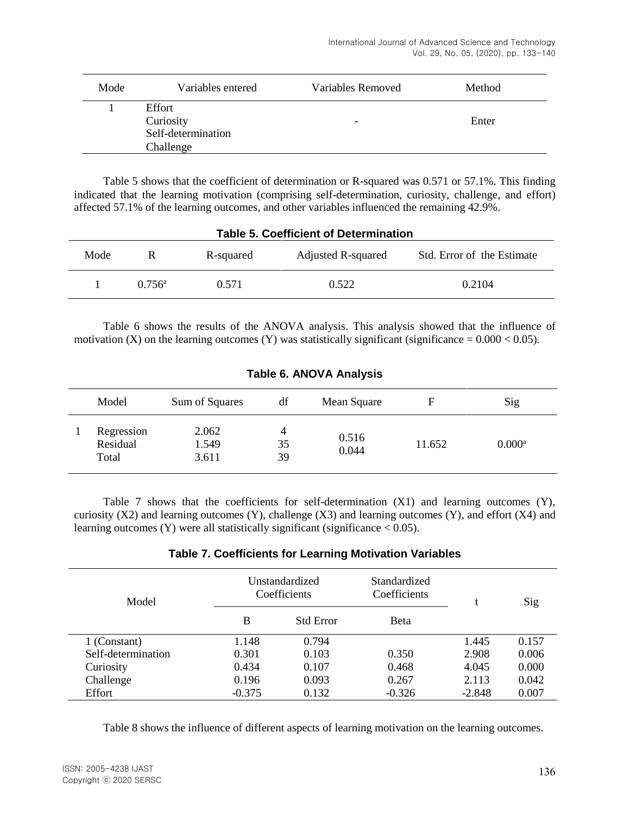| Mode | Variables entered                                      | Variables Removed | Method |
|------|--------------------------------------------------------|-------------------|--------|
|      | Effort<br>Curiosity<br>Self-determination<br>Challenge | -                 | Enter  |

Table 5 shows that the coefficient of determination or R-squared was 0.571 or 57.1%. This finding indicated that the learning motivation (comprising self-determination, curiosity, challenge, and effort) affected 57.1% of the learning outcomes, and other variables influenced the remaining 42.9%.

| <b>Table 5. Coefficient of Determination</b> |                 |           |                    |                            |  |
|----------------------------------------------|-----------------|-----------|--------------------|----------------------------|--|
| Mode                                         | R               | R-squared | Adjusted R-squared | Std. Error of the Estimate |  |
|                                              | $0.756^{\rm a}$ | 0.571     | 0.522              | 0.2104                     |  |

Table 6 shows the results of the ANOVA analysis. This analysis showed that the influence of motivation (X) on the learning outcomes (Y) was statistically significant (significance =  $0.000 < 0.05$ ).

| Model                           | Sum of Squares          | df            | Mean Square    | F      | Sig                  |
|---------------------------------|-------------------------|---------------|----------------|--------|----------------------|
| Regression<br>Residual<br>Total | 2.062<br>1.549<br>3.611 | 4<br>35<br>39 | 0.516<br>0.044 | 11.652 | $0.000$ <sup>a</sup> |

# **Table 6. ANOVA Analysis**

Table 7 shows that the coefficients for self-determination  $(X1)$  and learning outcomes  $(Y)$ , curiosity (X2) and learning outcomes (Y), challenge (X3) and learning outcomes (Y), and effort (X4) and learning outcomes (Y) were all statistically significant (significance  $< 0.05$ ).

#### **Table 7. Coefficients for Learning Motivation Variables**

| Model              |          | Unstandardized<br>Coefficients | Standardized<br>Coefficients | Sig      |       |
|--------------------|----------|--------------------------------|------------------------------|----------|-------|
|                    | B        | <b>Std Error</b>               | <b>Beta</b>                  |          |       |
| 1 (Constant)       | 1.148    | 0.794                          |                              | 1.445    | 0.157 |
| Self-determination | 0.301    | 0.103                          | 0.350                        | 2.908    | 0.006 |
| Curiosity          | 0.434    | 0.107                          | 0.468                        | 4.045    | 0.000 |
| Challenge          | 0.196    | 0.093                          | 0.267                        | 2.113    | 0.042 |
| Effort             | $-0.375$ | 0.132                          | $-0.326$                     | $-2.848$ | 0.007 |

Table 8 shows the influence of different aspects of learning motivation on the learning outcomes.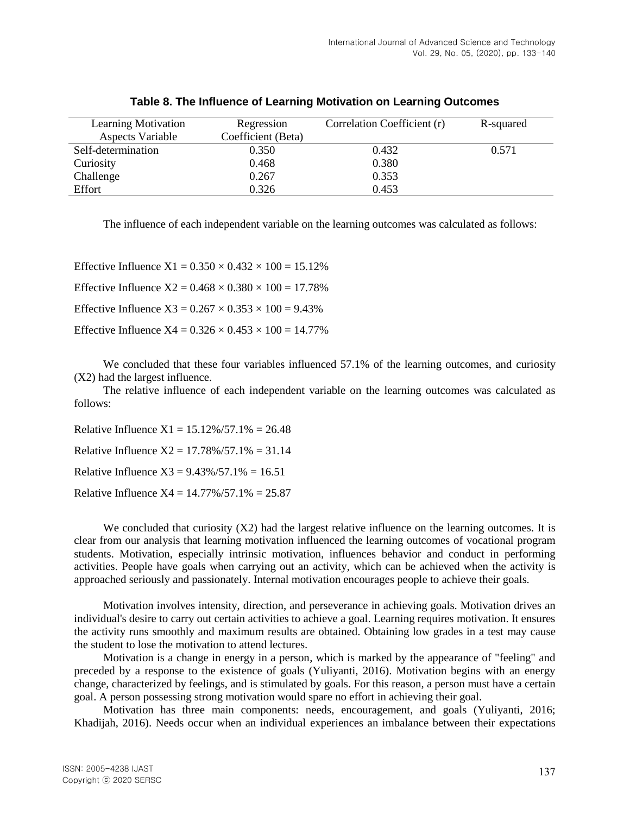| <b>Learning Motivation</b> | Regression         | Correlation Coefficient (r) | R-squared |
|----------------------------|--------------------|-----------------------------|-----------|
| Aspects Variable           | Coefficient (Beta) |                             |           |
| Self-determination         | 0.350              | 0.432                       | 0.571     |
| Curiosity                  | 0.468              | 0.380                       |           |
| Challenge                  | 0.267              | 0.353                       |           |
| Effort                     | 0.326              | 0.453                       |           |

**Table 8. The Influence of Learning Motivation on Learning Outcomes**

The influence of each independent variable on the learning outcomes was calculated as follows:

Effective Influence  $X1 = 0.350 \times 0.432 \times 100 = 15.12\%$ Effective Influence  $X2 = 0.468 \times 0.380 \times 100 = 17.78\%$ Effective Influence  $X3 = 0.267 \times 0.353 \times 100 = 9.43\%$ Effective Influence  $X4 = 0.326 \times 0.453 \times 100 = 14.77\%$ 

We concluded that these four variables influenced 57.1% of the learning outcomes, and curiosity (X2) had the largest influence.

The relative influence of each independent variable on the learning outcomes was calculated as follows:

Relative Influence  $X1 = 15.12\%/57.1\% = 26.48$ Relative Influence  $X2 = 17.78\%/57.1\% = 31.14$ Relative Influence  $X3 = 9.43\%/57.1\% = 16.51$ Relative Influence  $X4 = 14.77\%/57.1\% = 25.87$ 

We concluded that curiosity  $(X2)$  had the largest relative influence on the learning outcomes. It is clear from our analysis that learning motivation influenced the learning outcomes of vocational program students. Motivation, especially intrinsic motivation, influences behavior and conduct in performing activities. People have goals when carrying out an activity, which can be achieved when the activity is approached seriously and passionately. Internal motivation encourages people to achieve their goals.

Motivation involves intensity, direction, and perseverance in achieving goals. Motivation drives an individual's desire to carry out certain activities to achieve a goal. Learning requires motivation. It ensures the activity runs smoothly and maximum results are obtained. Obtaining low grades in a test may cause the student to lose the motivation to attend lectures.

Motivation is a change in energy in a person, which is marked by the appearance of "feeling" and preceded by a response to the existence of goals (Yuliyanti, 2016). Motivation begins with an energy change, characterized by feelings, and is stimulated by goals. For this reason, a person must have a certain goal. A person possessing strong motivation would spare no effort in achieving their goal.

Motivation has three main components: needs, encouragement, and goals (Yuliyanti, 2016; Khadijah, 2016). Needs occur when an individual experiences an imbalance between their expectations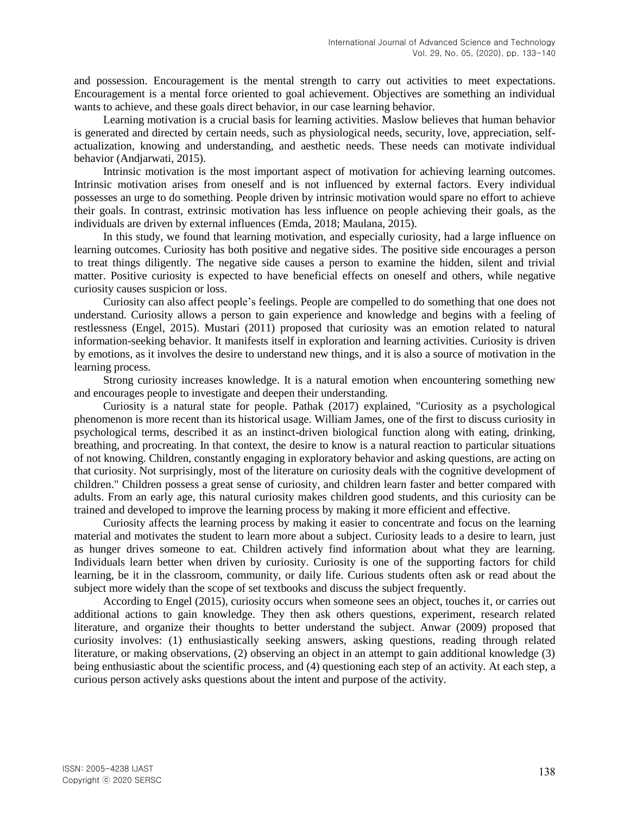and possession. Encouragement is the mental strength to carry out activities to meet expectations. Encouragement is a mental force oriented to goal achievement. Objectives are something an individual wants to achieve, and these goals direct behavior, in our case learning behavior.

Learning motivation is a crucial basis for learning activities. Maslow believes that human behavior is generated and directed by certain needs, such as physiological needs, security, love, appreciation, selfactualization, knowing and understanding, and aesthetic needs. These needs can motivate individual behavior (Andjarwati, 2015).

Intrinsic motivation is the most important aspect of motivation for achieving learning outcomes. Intrinsic motivation arises from oneself and is not influenced by external factors. Every individual possesses an urge to do something. People driven by intrinsic motivation would spare no effort to achieve their goals. In contrast, extrinsic motivation has less influence on people achieving their goals, as the individuals are driven by external influences (Emda, 2018; Maulana, 2015).

In this study, we found that learning motivation, and especially curiosity, had a large influence on learning outcomes. Curiosity has both positive and negative sides. The positive side encourages a person to treat things diligently. The negative side causes a person to examine the hidden, silent and trivial matter. Positive curiosity is expected to have beneficial effects on oneself and others, while negative curiosity causes suspicion or loss.

Curiosity can also affect people's feelings. People are compelled to do something that one does not understand. Curiosity allows a person to gain experience and knowledge and begins with a feeling of restlessness (Engel, 2015). Mustari (2011) proposed that curiosity was an emotion related to natural information-seeking behavior. It manifests itself in exploration and learning activities. Curiosity is driven by emotions, as it involves the desire to understand new things, and it is also a source of motivation in the learning process.

Strong curiosity increases knowledge. It is a natural emotion when encountering something new and encourages people to investigate and deepen their understanding.

Curiosity is a natural state for people. Pathak (2017) explained, "Curiosity as a psychological phenomenon is more recent than its historical usage. William James, one of the first to discuss curiosity in psychological terms, described it as an instinct-driven biological function along with eating, drinking, breathing, and procreating. In that context, the desire to know is a natural reaction to particular situations of not knowing. Children, constantly engaging in exploratory behavior and asking questions, are acting on that curiosity. Not surprisingly, most of the literature on curiosity deals with the cognitive development of children." Children possess a great sense of curiosity, and children learn faster and better compared with adults. From an early age, this natural curiosity makes children good students, and this curiosity can be trained and developed to improve the learning process by making it more efficient and effective.

Curiosity affects the learning process by making it easier to concentrate and focus on the learning material and motivates the student to learn more about a subject. Curiosity leads to a desire to learn, just as hunger drives someone to eat. Children actively find information about what they are learning. Individuals learn better when driven by curiosity. Curiosity is one of the supporting factors for child learning, be it in the classroom, community, or daily life. Curious students often ask or read about the subject more widely than the scope of set textbooks and discuss the subject frequently.

According to Engel (2015), curiosity occurs when someone sees an object, touches it, or carries out additional actions to gain knowledge. They then ask others questions, experiment, research related literature, and organize their thoughts to better understand the subject. Anwar (2009) proposed that curiosity involves: (1) enthusiastically seeking answers, asking questions, reading through related literature, or making observations, (2) observing an object in an attempt to gain additional knowledge (3) being enthusiastic about the scientific process, and (4) questioning each step of an activity. At each step, a curious person actively asks questions about the intent and purpose of the activity.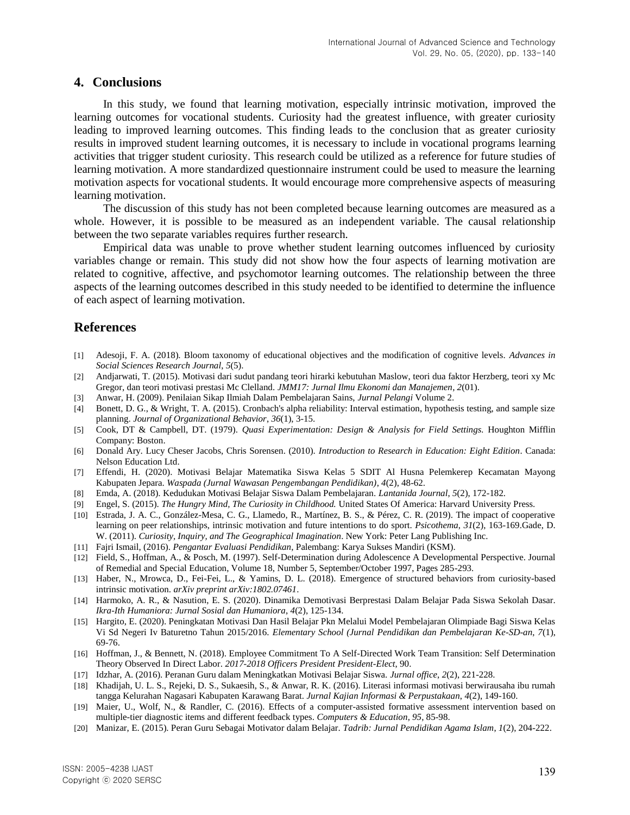### **4. Conclusions**

In this study, we found that learning motivation, especially intrinsic motivation, improved the learning outcomes for vocational students. Curiosity had the greatest influence, with greater curiosity leading to improved learning outcomes. This finding leads to the conclusion that as greater curiosity results in improved student learning outcomes, it is necessary to include in vocational programs learning activities that trigger student curiosity. This research could be utilized as a reference for future studies of learning motivation. A more standardized questionnaire instrument could be used to measure the learning motivation aspects for vocational students. It would encourage more comprehensive aspects of measuring learning motivation.

The discussion of this study has not been completed because learning outcomes are measured as a whole. However, it is possible to be measured as an independent variable. The causal relationship between the two separate variables requires further research.

Empirical data was unable to prove whether student learning outcomes influenced by curiosity variables change or remain. This study did not show how the four aspects of learning motivation are related to cognitive, affective, and psychomotor learning outcomes. The relationship between the three aspects of the learning outcomes described in this study needed to be identified to determine the influence of each aspect of learning motivation.

# **References**

- [1] Adesoji, F. A. (2018). Bloom taxonomy of educational objectives and the modification of cognitive levels. *Advances in Social Sciences Research Journal*, *5*(5).
- [2] Andjarwati, T. (2015). Motivasi dari sudut pandang teori hirarki kebutuhan Maslow, teori dua faktor Herzberg, teori xy Mc Gregor, dan teori motivasi prestasi Mc Clelland. *JMM17: Jurnal Ilmu Ekonomi dan Manajemen*, *2*(01).
- [3] Anwar, H. (2009). Penilaian Sikap Ilmiah Dalam Pembelajaran Sains, *Jurnal Pelangi* Volume 2.
- [4] Bonett, D. G., & Wright, T. A. (2015). Cronbach's alpha reliability: Interval estimation, hypothesis testing, and sample size planning. *Journal of Organizational Behavior*, *36*(1), 3-15.
- [5] Cook, DT & Campbell, DT. (1979). *Quasi Experimentation: Design & Analysis for Field Settings.* Houghton Mifflin Company: Boston.
- [6] Donald Ary. Lucy Cheser Jacobs, Chris Sorensen. (2010). *Introduction to Research in Education: Eight Edition*. Canada: Nelson Education Ltd.
- [7] Effendi, H. (2020). Motivasi Belajar Matematika Siswa Kelas 5 SDIT Al Husna Pelemkerep Kecamatan Mayong Kabupaten Jepara. *Waspada (Jurnal Wawasan Pengembangan Pendidikan)*, *4*(2), 48-62.
- [8] Emda, A. (2018). Kedudukan Motivasi Belajar Siswa Dalam Pembelajaran. *Lantanida Journal*, *5*(2), 172-182.
- [9] Engel, S. (2015). *The Hungry Mind, The Curiosity in Childhood.* United States Of America: Harvard University Press.
- [10] Estrada, J. A. C., González-Mesa, C. G., Llamedo, R., Martínez, B. S., & Pérez, C. R. (2019). The impact of cooperative learning on peer relationships, intrinsic motivation and future intentions to do sport. *Psicothema*, *31*(2), 163-169.Gade, D. W. (2011). *Curiosity, Inquiry, and The Geographical Imagination*. New York: Peter Lang Publishing Inc.
- [11] Fajri Ismail, (2016). *Pengantar Evaluasi Pendidikan*, Palembang: Karya Sukses Mandiri (KSM).
- [12] Field, S., Hoffman, A., & Posch, M. (1997). Self-Determination during Adolescence A Developmental Perspective. Journal of Remedial and Special Education, Volume 18, Number 5, September/October 1997, Pages 285-293.
- [13] Haber, N., Mrowca, D., Fei-Fei, L., & Yamins, D. L. (2018). Emergence of structured behaviors from curiosity-based intrinsic motivation. *arXiv preprint arXiv:1802.07461*.
- [14] Harmoko, A. R., & Nasution, E. S. (2020). Dinamika Demotivasi Berprestasi Dalam Belajar Pada Siswa Sekolah Dasar. *Ikra-Ith Humaniora: Jurnal Sosial dan Humaniora*, *4*(2), 125-134.
- [15] Hargito, E. (2020). Peningkatan Motivasi Dan Hasil Belajar Pkn Melalui Model Pembelajaran Olimpiade Bagi Siswa Kelas Vi Sd Negeri Iv Baturetno Tahun 2015/2016. *Elementary School (Jurnal Pendidikan dan Pembelajaran Ke-SD-an*, *7*(1), 69-76.
- [16] Hoffman, J., & Bennett, N. (2018). Employee Commitment To A Self-Directed Work Team Transition: Self Determination Theory Observed In Direct Labor. *2017-2018 Officers President President-Elect*, 90.
- [17] Idzhar, A. (2016). Peranan Guru dalam Meningkatkan Motivasi Belajar Siswa. *Jurnal office*, *2*(2), 221-228.
- [18] Khadijah, U. L. S., Rejeki, D. S., Sukaesih, S., & Anwar, R. K. (2016). Literasi informasi motivasi berwirausaha ibu rumah tangga Kelurahan Nagasari Kabupaten Karawang Barat. *Jurnal Kajian Informasi & Perpustakaan*, *4*(2), 149-160.
- [19] Maier, U., Wolf, N., & Randler, C. (2016). Effects of a computer-assisted formative assessment intervention based on multiple-tier diagnostic items and different feedback types. *Computers & Education*, *95*, 85-98.
- [20] Manizar, E. (2015). Peran Guru Sebagai Motivator dalam Belajar. *Tadrib: Jurnal Pendidikan Agama Islam*, *1*(2), 204-222.